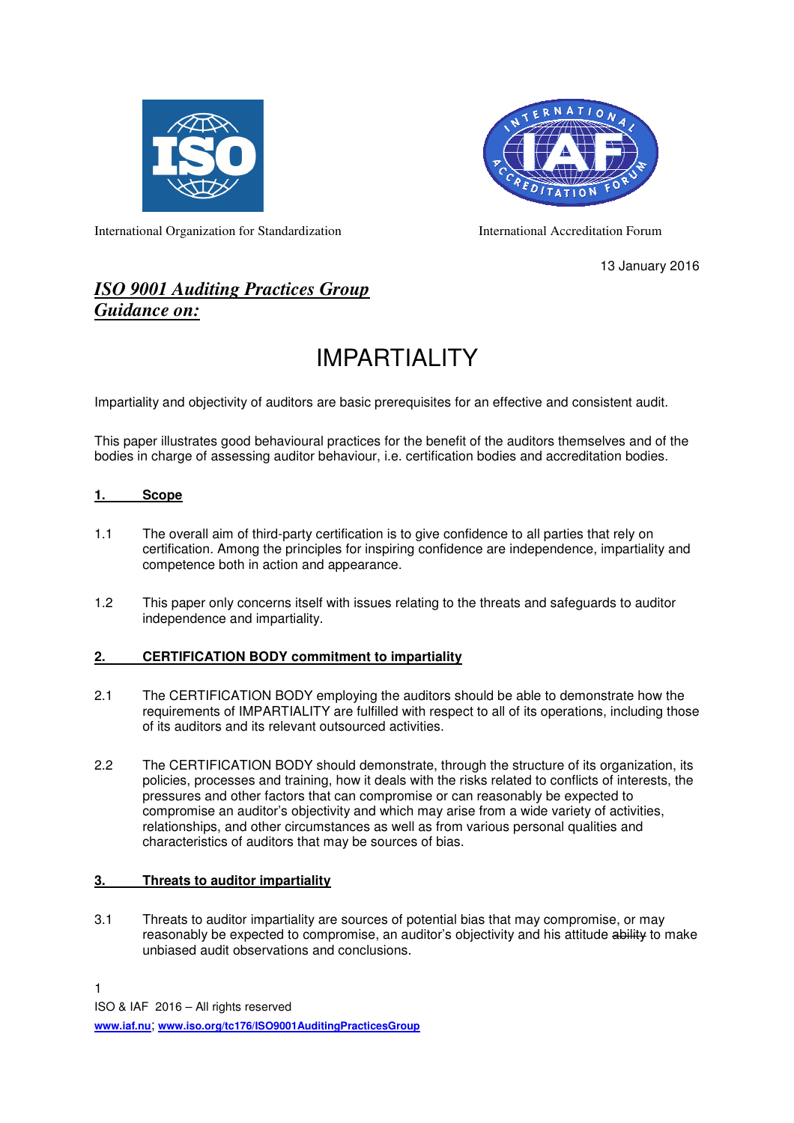



International Organization for Standardization International Accreditation Forum

13 January 2016

# *ISO 9001 Auditing Practices Group Guidance on:*

# IMPARTIALITY

Impartiality and objectivity of auditors are basic prerequisites for an effective and consistent audit.

This paper illustrates good behavioural practices for the benefit of the auditors themselves and of the bodies in charge of assessing auditor behaviour, i.e. certification bodies and accreditation bodies.

## **1. Scope**

- 1.1 The overall aim of third-party certification is to give confidence to all parties that rely on certification. Among the principles for inspiring confidence are independence, impartiality and competence both in action and appearance.
- 1.2 This paper only concerns itself with issues relating to the threats and safeguards to auditor independence and impartiality.

#### **2. CERTIFICATION BODY commitment to impartiality**

- 2.1 The CERTIFICATION BODY employing the auditors should be able to demonstrate how the requirements of IMPARTIALITY are fulfilled with respect to all of its operations, including those of its auditors and its relevant outsourced activities.
- 2.2 The CERTIFICATION BODY should demonstrate, through the structure of its organization, its policies, processes and training, how it deals with the risks related to conflicts of interests, the pressures and other factors that can compromise or can reasonably be expected to compromise an auditor's objectivity and which may arise from a wide variety of activities, relationships, and other circumstances as well as from various personal qualities and characteristics of auditors that may be sources of bias.

# **3. Threats to auditor impartiality**

3.1 Threats to auditor impartiality are sources of potential bias that may compromise, or may reasonably be expected to compromise, an auditor's objectivity and his attitude ability to make unbiased audit observations and conclusions.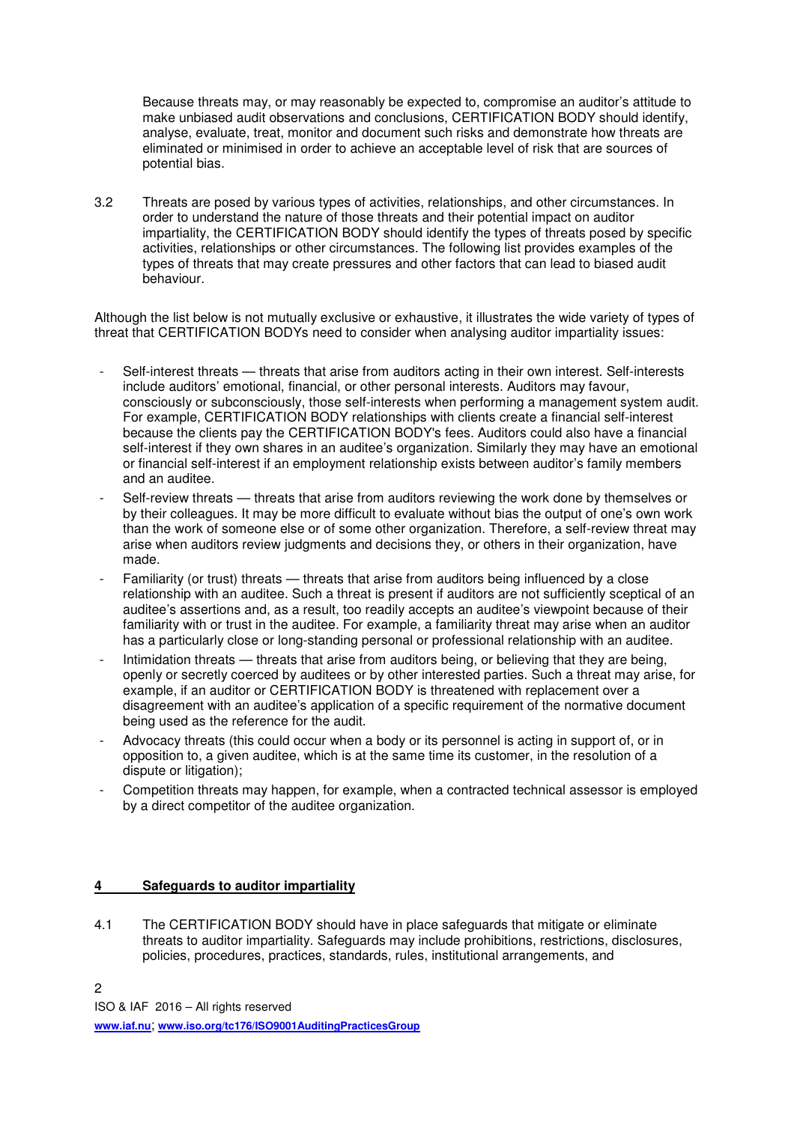Because threats may, or may reasonably be expected to, compromise an auditor's attitude to make unbiased audit observations and conclusions, CERTIFICATION BODY should identify, analyse, evaluate, treat, monitor and document such risks and demonstrate how threats are eliminated or minimised in order to achieve an acceptable level of risk that are sources of potential bias.

3.2 Threats are posed by various types of activities, relationships, and other circumstances. In order to understand the nature of those threats and their potential impact on auditor impartiality, the CERTIFICATION BODY should identify the types of threats posed by specific activities, relationships or other circumstances. The following list provides examples of the types of threats that may create pressures and other factors that can lead to biased audit behaviour.

Although the list below is not mutually exclusive or exhaustive, it illustrates the wide variety of types of threat that CERTIFICATION BODYs need to consider when analysing auditor impartiality issues:

- Self-interest threats threats that arise from auditors acting in their own interest. Self-interests include auditors' emotional, financial, or other personal interests. Auditors may favour, consciously or subconsciously, those self-interests when performing a management system audit. For example, CERTIFICATION BODY relationships with clients create a financial self-interest because the clients pay the CERTIFICATION BODY's fees. Auditors could also have a financial self-interest if they own shares in an auditee's organization. Similarly they may have an emotional or financial self-interest if an employment relationship exists between auditor's family members and an auditee.
- Self-review threats threats that arise from auditors reviewing the work done by themselves or by their colleagues. It may be more difficult to evaluate without bias the output of one's own work than the work of someone else or of some other organization. Therefore, a self-review threat may arise when auditors review judgments and decisions they, or others in their organization, have made.
- Familiarity (or trust) threats threats that arise from auditors being influenced by a close relationship with an auditee. Such a threat is present if auditors are not sufficiently sceptical of an auditee's assertions and, as a result, too readily accepts an auditee's viewpoint because of their familiarity with or trust in the auditee. For example, a familiarity threat may arise when an auditor has a particularly close or long-standing personal or professional relationship with an auditee.
- Intimidation threats threats that arise from auditors being, or believing that they are being, openly or secretly coerced by auditees or by other interested parties. Such a threat may arise, for example, if an auditor or CERTIFICATION BODY is threatened with replacement over a disagreement with an auditee's application of a specific requirement of the normative document being used as the reference for the audit.
- Advocacy threats (this could occur when a body or its personnel is acting in support of, or in opposition to, a given auditee, which is at the same time its customer, in the resolution of a dispute or litigation);
- Competition threats may happen, for example, when a contracted technical assessor is employed by a direct competitor of the auditee organization.

#### **4 Safeguards to auditor impartiality**

4.1 The CERTIFICATION BODY should have in place safeguards that mitigate or eliminate threats to auditor impartiality. Safeguards may include prohibitions, restrictions, disclosures, policies, procedures, practices, standards, rules, institutional arrangements, and

ISO & IAF 2016 – All rights reserved

**www.iaf.nu**; **www.iso.org/tc176/ISO9001AuditingPracticesGroup**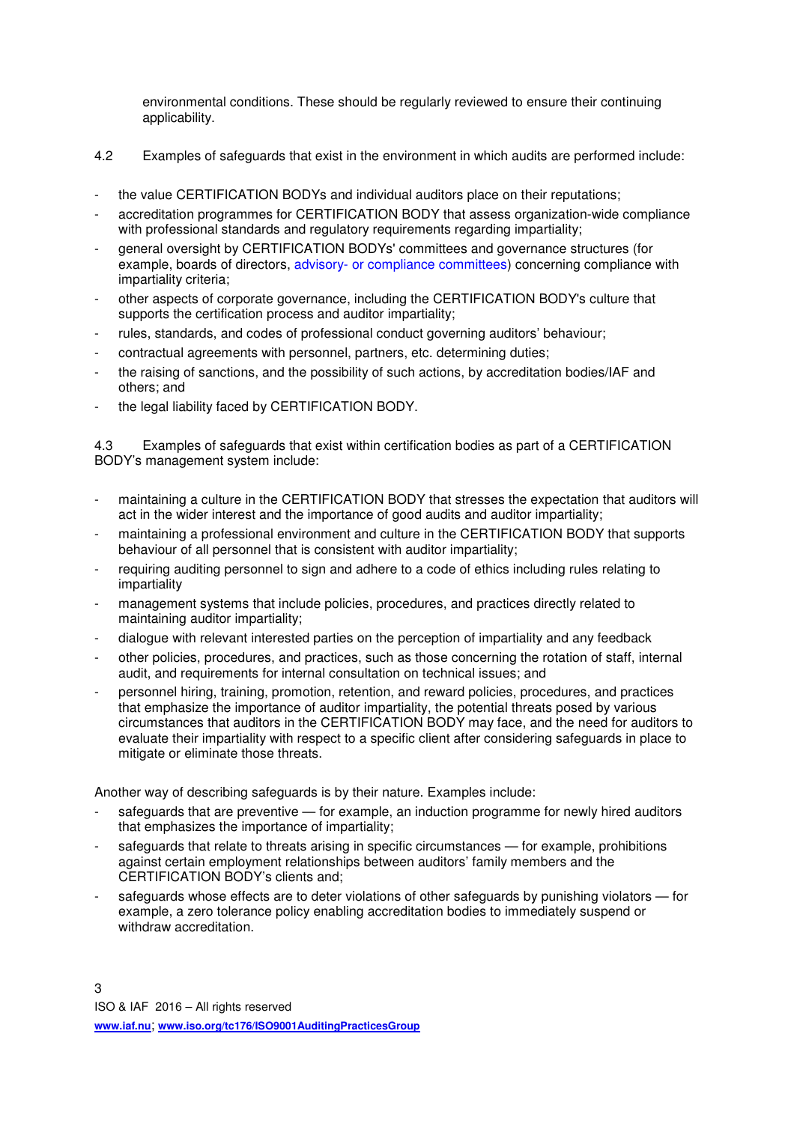environmental conditions. These should be regularly reviewed to ensure their continuing applicability.

- 4.2 Examples of safeguards that exist in the environment in which audits are performed include:
- the value CERTIFICATION BODYs and individual auditors place on their reputations;
- accreditation programmes for CERTIFICATION BODY that assess organization-wide compliance with professional standards and regulatory requirements regarding impartiality;
- general oversight by CERTIFICATION BODYs' committees and governance structures (for example, boards of directors, advisory- or compliance committees) concerning compliance with impartiality criteria;
- other aspects of corporate governance, including the CERTIFICATION BODY's culture that supports the certification process and auditor impartiality;
- rules, standards, and codes of professional conduct governing auditors' behaviour;
- contractual agreements with personnel, partners, etc. determining duties;
- the raising of sanctions, and the possibility of such actions, by accreditation bodies/IAF and others; and
- the legal liability faced by CERTIFICATION BODY.

4.3 Examples of safeguards that exist within certification bodies as part of a CERTIFICATION BODY's management system include:

- maintaining a culture in the CERTIFICATION BODY that stresses the expectation that auditors will act in the wider interest and the importance of good audits and auditor impartiality;
- maintaining a professional environment and culture in the CERTIFICATION BODY that supports behaviour of all personnel that is consistent with auditor impartiality;
- requiring auditing personnel to sign and adhere to a code of ethics including rules relating to impartiality
- management systems that include policies, procedures, and practices directly related to maintaining auditor impartiality;
- dialogue with relevant interested parties on the perception of impartiality and any feedback
- other policies, procedures, and practices, such as those concerning the rotation of staff, internal audit, and requirements for internal consultation on technical issues; and
- personnel hiring, training, promotion, retention, and reward policies, procedures, and practices that emphasize the importance of auditor impartiality, the potential threats posed by various circumstances that auditors in the CERTIFICATION BODY may face, and the need for auditors to evaluate their impartiality with respect to a specific client after considering safeguards in place to mitigate or eliminate those threats.

Another way of describing safeguards is by their nature. Examples include:

- safeguards that are preventive for example, an induction programme for newly hired auditors that emphasizes the importance of impartiality;
- safeguards that relate to threats arising in specific circumstances for example, prohibitions against certain employment relationships between auditors' family members and the CERTIFICATION BODY's clients and;
- safeguards whose effects are to deter violations of other safeguards by punishing violators for example, a zero tolerance policy enabling accreditation bodies to immediately suspend or withdraw accreditation.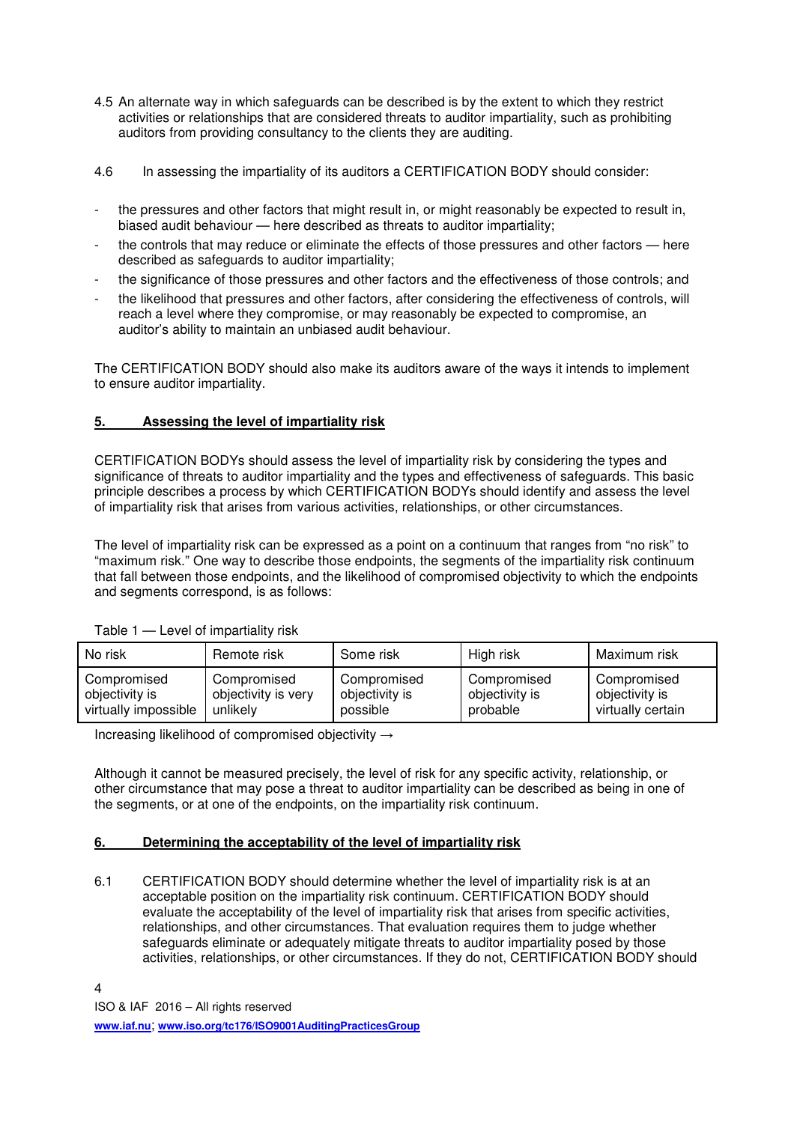- 4.5 An alternate way in which safeguards can be described is by the extent to which they restrict activities or relationships that are considered threats to auditor impartiality, such as prohibiting auditors from providing consultancy to the clients they are auditing.
- 4.6 In assessing the impartiality of its auditors a CERTIFICATION BODY should consider:
- the pressures and other factors that might result in, or might reasonably be expected to result in, biased audit behaviour — here described as threats to auditor impartiality;
- the controls that may reduce or eliminate the effects of those pressures and other factors here described as safeguards to auditor impartiality;
- the significance of those pressures and other factors and the effectiveness of those controls; and
- the likelihood that pressures and other factors, after considering the effectiveness of controls, will reach a level where they compromise, or may reasonably be expected to compromise, an auditor's ability to maintain an unbiased audit behaviour.

The CERTIFICATION BODY should also make its auditors aware of the ways it intends to implement to ensure auditor impartiality.

#### **5. Assessing the level of impartiality risk**

CERTIFICATION BODYs should assess the level of impartiality risk by considering the types and significance of threats to auditor impartiality and the types and effectiveness of safeguards. This basic principle describes a process by which CERTIFICATION BODYs should identify and assess the level of impartiality risk that arises from various activities, relationships, or other circumstances.

The level of impartiality risk can be expressed as a point on a continuum that ranges from "no risk" to "maximum risk." One way to describe those endpoints, the segments of the impartiality risk continuum that fall between those endpoints, and the likelihood of compromised objectivity to which the endpoints and segments correspond, is as follows:

| No risk              | Remote risk         | Some risk      | High risk      | Maximum risk      |
|----------------------|---------------------|----------------|----------------|-------------------|
| Compromised          | Compromised         | Compromised    | Compromised    | Compromised       |
| objectivity is       | objectivity is very | objectivity is | objectivity is | objectivity is    |
| virtually impossible | unlikely            | possible       | probable       | virtually certain |

Table 1 — Level of impartiality risk

Increasing likelihood of compromised objectivity →

Although it cannot be measured precisely, the level of risk for any specific activity, relationship, or other circumstance that may pose a threat to auditor impartiality can be described as being in one of the segments, or at one of the endpoints, on the impartiality risk continuum.

#### **6. Determining the acceptability of the level of impartiality risk**

6.1 CERTIFICATION BODY should determine whether the level of impartiality risk is at an acceptable position on the impartiality risk continuum. CERTIFICATION BODY should evaluate the acceptability of the level of impartiality risk that arises from specific activities, relationships, and other circumstances. That evaluation requires them to judge whether safeguards eliminate or adequately mitigate threats to auditor impartiality posed by those activities, relationships, or other circumstances. If they do not, CERTIFICATION BODY should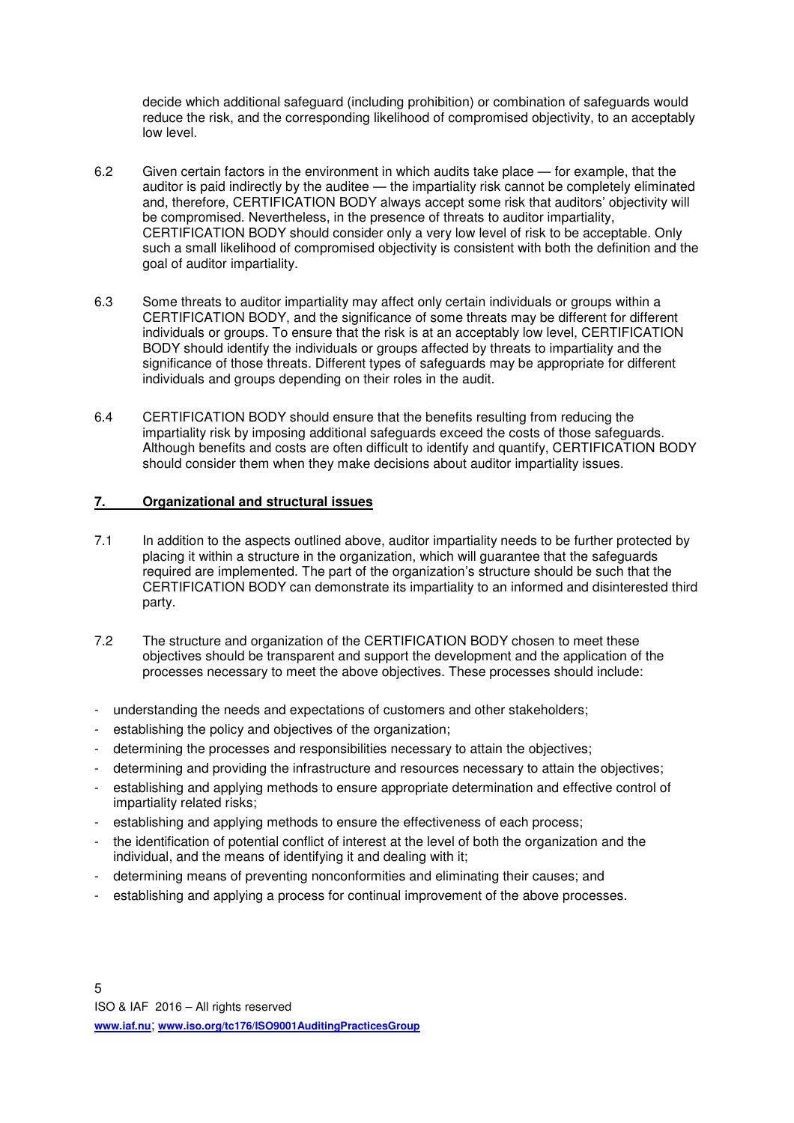decide which additional safeguard (including prohibition) or combination of safeguards would reduce the risk, and the corresponding likelihood of compromised objectivity, to an acceptably low level.

- 6.2 Given certain factors in the environment in which audits take place for example, that the auditor is paid indirectly by the auditee — the impartiality risk cannot be completely eliminated and, therefore, CERTIFICATION BODY always accept some risk that auditors' objectivity will be compromised. Nevertheless, in the presence of threats to auditor impartiality, CERTIFICATION BODY should consider only a very low level of risk to be acceptable. Only such a small likelihood of compromised objectivity is consistent with both the definition and the goal of auditor impartiality.
- 6.3 Some threats to auditor impartiality may affect only certain individuals or groups within a CERTIFICATION BODY, and the significance of some threats may be different for different individuals or groups. To ensure that the risk is at an acceptably low level, CERTIFICATION BODY should identify the individuals or groups affected by threats to impartiality and the significance of those threats. Different types of safeguards may be appropriate for different individuals and groups depending on their roles in the audit.
- 6.4 CERTIFICATION BODY should ensure that the benefits resulting from reducing the impartiality risk by imposing additional safeguards exceed the costs of those safeguards. Although benefits and costs are often difficult to identify and quantify, CERTIFICATION BODY should consider them when they make decisions about auditor impartiality issues.

## **7. Organizational and structural issues**

- 7.1 In addition to the aspects outlined above, auditor impartiality needs to be further protected by placing it within a structure in the organization, which will guarantee that the safeguards required are implemented. The part of the organization's structure should be such that the CERTIFICATION BODY can demonstrate its impartiality to an informed and disinterested third party.
- 7.2 The structure and organization of the CERTIFICATION BODY chosen to meet these objectives should be transparent and support the development and the application of the processes necessary to meet the above objectives. These processes should include:
- understanding the needs and expectations of customers and other stakeholders;
- establishing the policy and objectives of the organization;
- determining the processes and responsibilities necessary to attain the objectives;
- determining and providing the infrastructure and resources necessary to attain the objectives;
- establishing and applying methods to ensure appropriate determination and effective control of impartiality related risks;
- establishing and applying methods to ensure the effectiveness of each process;
- the identification of potential conflict of interest at the level of both the organization and the individual, and the means of identifying it and dealing with it;
- determining means of preventing nonconformities and eliminating their causes; and
- establishing and applying a process for continual improvement of the above processes.